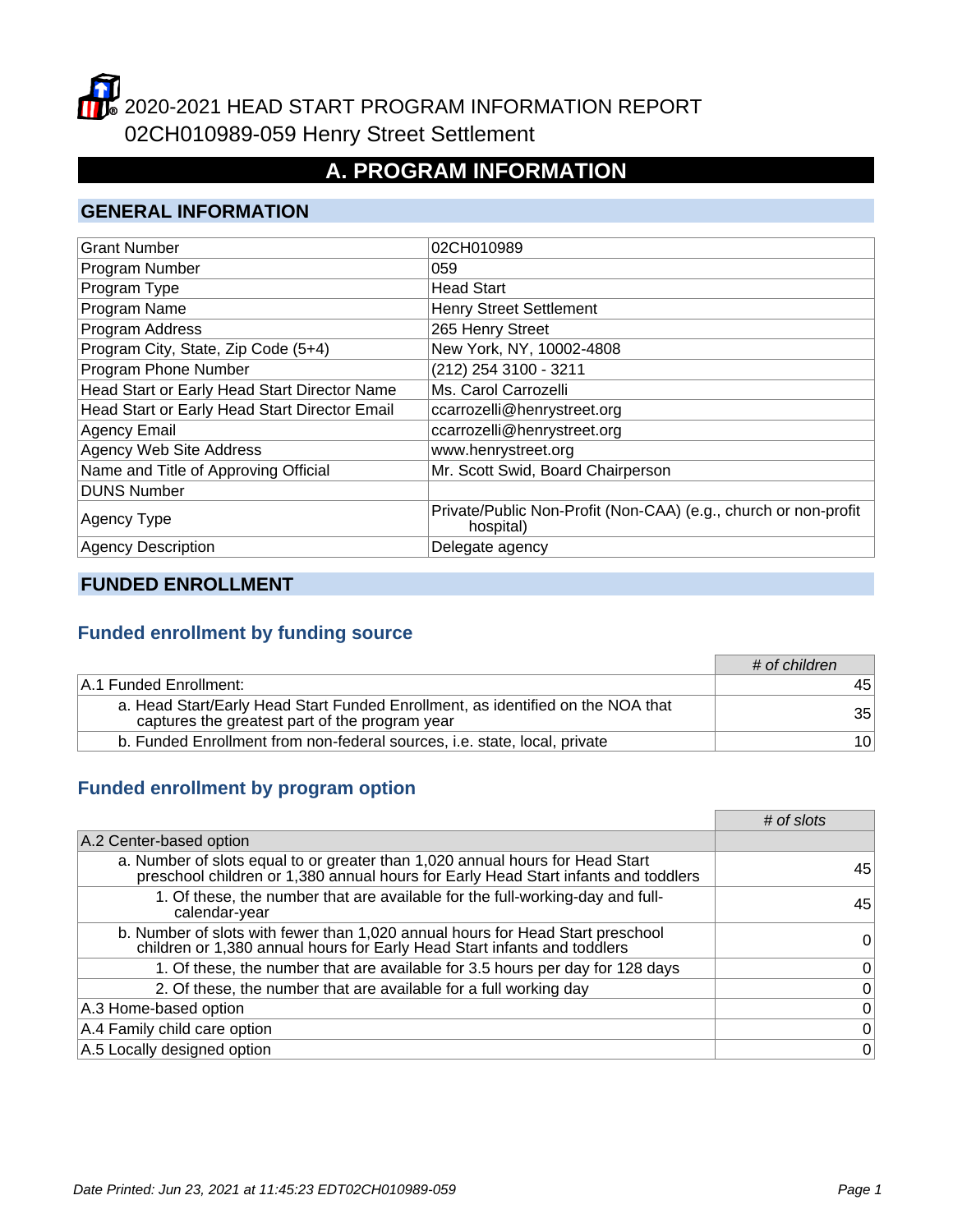# 2020-2021 HEAD START PROGRAM INFORMATION REPORT 02CH010989-059 Henry Street Settlement

## **A. PROGRAM INFORMATION**

### **GENERAL INFORMATION**

| <b>Grant Number</b>                           | 02CH010989                                                                   |
|-----------------------------------------------|------------------------------------------------------------------------------|
| Program Number                                | 059                                                                          |
| Program Type                                  | <b>Head Start</b>                                                            |
| Program Name                                  | <b>Henry Street Settlement</b>                                               |
| Program Address                               | 265 Henry Street                                                             |
| Program City, State, Zip Code (5+4)           | New York, NY, 10002-4808                                                     |
| Program Phone Number                          | (212) 254 3100 - 3211                                                        |
| Head Start or Early Head Start Director Name  | Ms. Carol Carrozelli                                                         |
| Head Start or Early Head Start Director Email | ccarrozelli@henrystreet.org                                                  |
| <b>Agency Email</b>                           | ccarrozelli@henrystreet.org                                                  |
| <b>Agency Web Site Address</b>                | www.henrystreet.org                                                          |
| Name and Title of Approving Official          | Mr. Scott Swid, Board Chairperson                                            |
| <b>DUNS Number</b>                            |                                                                              |
| Agency Type                                   | Private/Public Non-Profit (Non-CAA) (e.g., church or non-profit<br>hospital) |
| <b>Agency Description</b>                     | Delegate agency                                                              |

### **FUNDED ENROLLMENT**

### **Funded enrollment by funding source**

|                                                                                                                                   | # of children   |
|-----------------------------------------------------------------------------------------------------------------------------------|-----------------|
| A.1 Funded Enrollment:                                                                                                            | 45              |
| a. Head Start/Early Head Start Funded Enrollment, as identified on the NOA that<br>captures the greatest part of the program year | 35 <sub>1</sub> |
| b. Funded Enrollment from non-federal sources, i.e. state, local, private                                                         | 101             |

### **Funded enrollment by program option**

|                                                                                                                                                                     | # of slots      |
|---------------------------------------------------------------------------------------------------------------------------------------------------------------------|-----------------|
| A.2 Center-based option                                                                                                                                             |                 |
| a. Number of slots equal to or greater than 1,020 annual hours for Head Start<br>preschool children or 1,380 annual hours for Early Head Start infants and toddlers | 45              |
| 1. Of these, the number that are available for the full-working-day and full-<br>calendar-year                                                                      | 45              |
| b. Number of slots with fewer than 1,020 annual hours for Head Start preschool<br>children or 1,380 annual hours for Early Head Start infants and toddlers          | 0               |
| 1. Of these, the number that are available for 3.5 hours per day for 128 days                                                                                       | 0               |
| 2. Of these, the number that are available for a full working day                                                                                                   | 0               |
| A.3 Home-based option                                                                                                                                               | $\Omega$        |
| A.4 Family child care option                                                                                                                                        | $\vert 0 \vert$ |
| A.5 Locally designed option                                                                                                                                         | $\mathsf 0$     |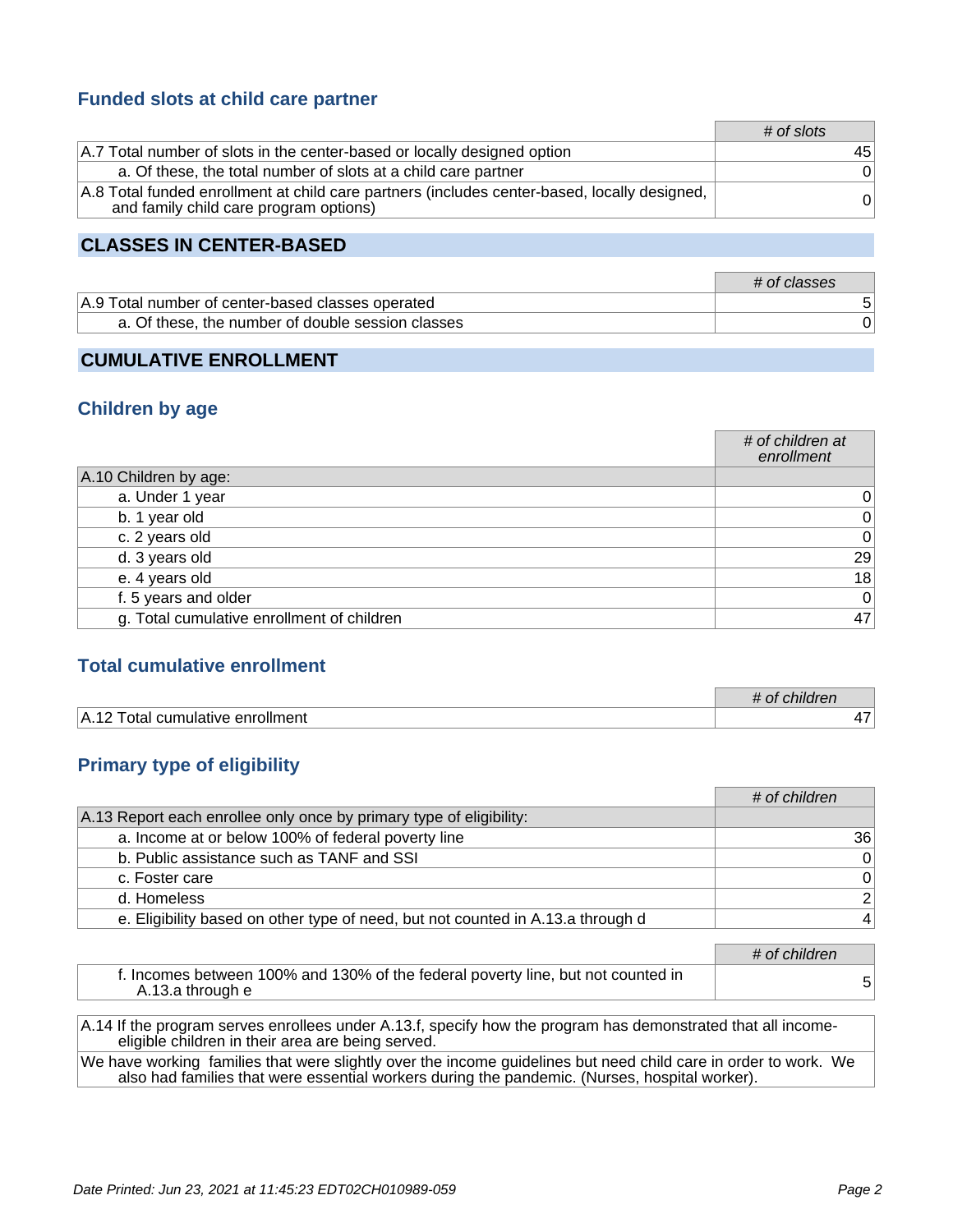### **Funded slots at child care partner**

|                                                                                                                                        | $#$ of slots   |
|----------------------------------------------------------------------------------------------------------------------------------------|----------------|
| A.7 Total number of slots in the center-based or locally designed option                                                               | 451            |
| a. Of these, the total number of slots at a child care partner                                                                         | 0              |
| A.8 Total funded enrollment at child care partners (includes center-based, locally designed,<br>and family child care program options) | 0 <sup>1</sup> |

### **CLASSES IN CENTER-BASED**

|                                                   | # of classes |
|---------------------------------------------------|--------------|
| A.9 Total number of center-based classes operated |              |
| a. Of these, the number of double session classes |              |

### **CUMULATIVE ENROLLMENT**

### **Children by age**

|                                            | # of children at<br>enrollment |
|--------------------------------------------|--------------------------------|
| A.10 Children by age:                      |                                |
| a. Under 1 year                            | 0                              |
| b. 1 year old                              | 0                              |
| c. 2 years old                             | 0                              |
| d. 3 years old                             | 29                             |
| e. 4 years old                             | 18                             |
| f. 5 years and older                       | $\mathbf 0$                    |
| g. Total cumulative enrollment of children | 47                             |

### **Total cumulative enrollment**

|                                                                                                      | $-1$ $-1$<br>'iaren |
|------------------------------------------------------------------------------------------------------|---------------------|
| A 12<br>≅enrollment ∖<br>Total cumulative<br>$\sim$ $\sim$ $\sim$ $\sim$ $\sim$ $\sim$ $\sim$ $\sim$ |                     |

### **Primary type of eligibility**

|                                                                                 | # of children   |
|---------------------------------------------------------------------------------|-----------------|
| A.13 Report each enrollee only once by primary type of eligibility:             |                 |
| a. Income at or below 100% of federal poverty line                              | 36 <sup>2</sup> |
| b. Public assistance such as TANF and SSI                                       | $\Omega$        |
| c. Foster care                                                                  | $\Omega$        |
| d. Homeless                                                                     | $\overline{2}$  |
| e. Eligibility based on other type of need, but not counted in A.13.a through d | $4^{\circ}$     |

|                                                                                                      | # of children |
|------------------------------------------------------------------------------------------------------|---------------|
| f. Incomes between 100% and 130% of the federal poverty line, but not counted in<br>A.13.a through e |               |

A.14 If the program serves enrollees under A.13.f, specify how the program has demonstrated that all incomeeligible children in their area are being served.

We have working families that were slightly over the income guidelines but need child care in order to work. We also had families that were essential workers during the pandemic. (Nurses, hospital worker).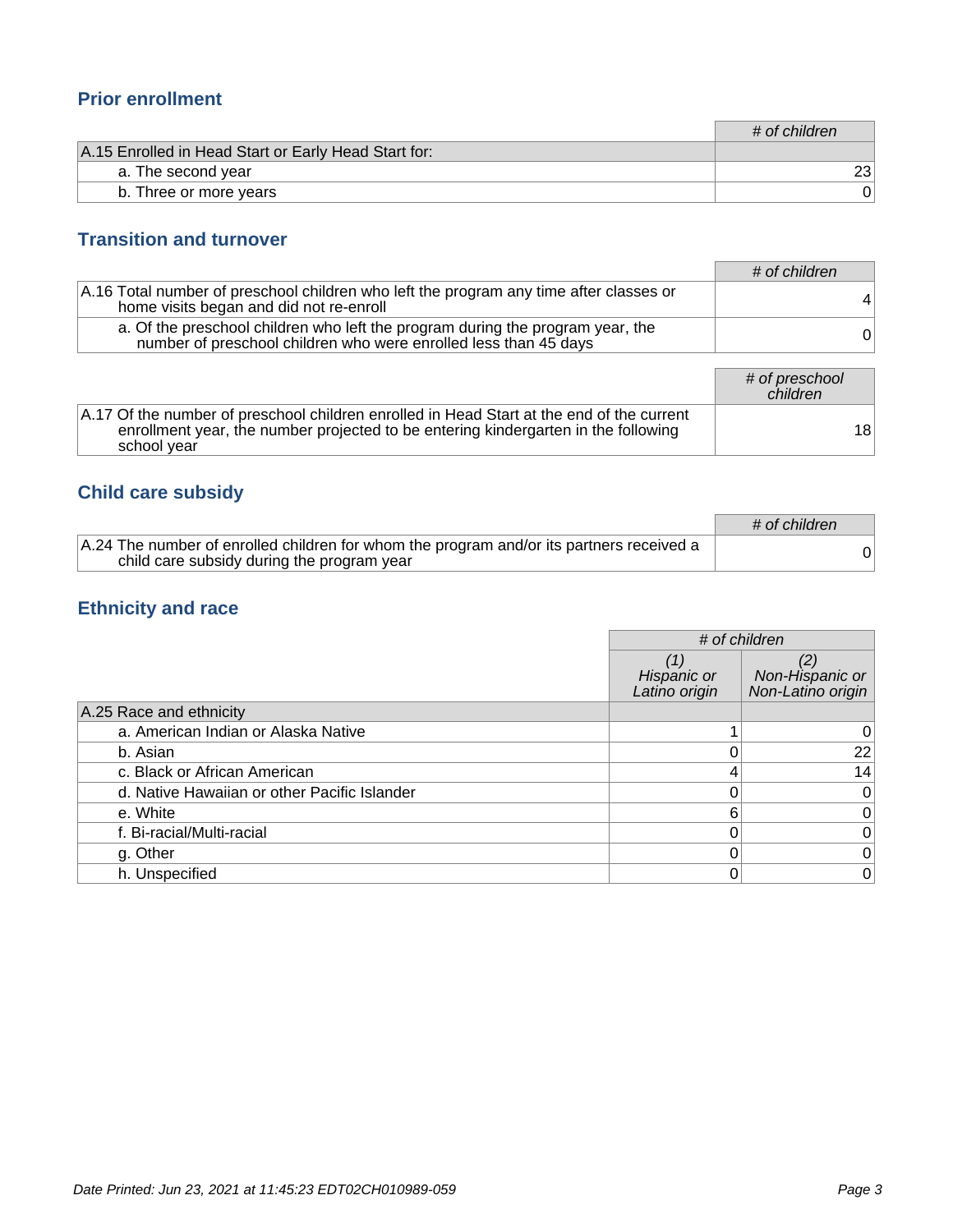## **Prior enrollment**

|                                                      | # of children |
|------------------------------------------------------|---------------|
| A.15 Enrolled in Head Start or Early Head Start for: |               |
| a. The second year                                   |               |
| b. Three or more years                               |               |
|                                                      |               |

## **Transition and turnover**

|                                                                                                                                                    | # of children |
|----------------------------------------------------------------------------------------------------------------------------------------------------|---------------|
| A.16 Total number of preschool children who left the program any time after classes or<br>home visits began and did not re-enroll                  | $4^{\circ}$   |
| a. Of the preschool children who left the program during the program year, the<br>number of preschool children who were enrolled less than 45 days | 0             |

|                                                                                                                                                                                                | # of preschool<br>children |
|------------------------------------------------------------------------------------------------------------------------------------------------------------------------------------------------|----------------------------|
| A.17 Of the number of preschool children enrolled in Head Start at the end of the current<br>enrollment year, the number projected to be entering kindergarten in the following<br>school year | 18                         |

## **Child care subsidy**

|                                                                                                                                        | # of children |
|----------------------------------------------------------------------------------------------------------------------------------------|---------------|
| A.24 The number of enrolled children for whom the program and/or its partners received a<br>child care subsidy during the program year |               |

## **Ethnicity and race**

|                                              | # of children                |                                      |
|----------------------------------------------|------------------------------|--------------------------------------|
|                                              | Hispanic or<br>Latino origin | Non-Hispanic or<br>Non-Latino origin |
| A.25 Race and ethnicity                      |                              |                                      |
| a. American Indian or Alaska Native          |                              | 0                                    |
| b. Asian                                     |                              | 22                                   |
| c. Black or African American                 | 4                            | 14                                   |
| d. Native Hawaiian or other Pacific Islander |                              | 0                                    |
| e. White                                     | 6                            | 0                                    |
| f. Bi-racial/Multi-racial                    |                              | 0                                    |
| g. Other                                     |                              | 0                                    |
| h. Unspecified                               |                              | $\mathbf 0$                          |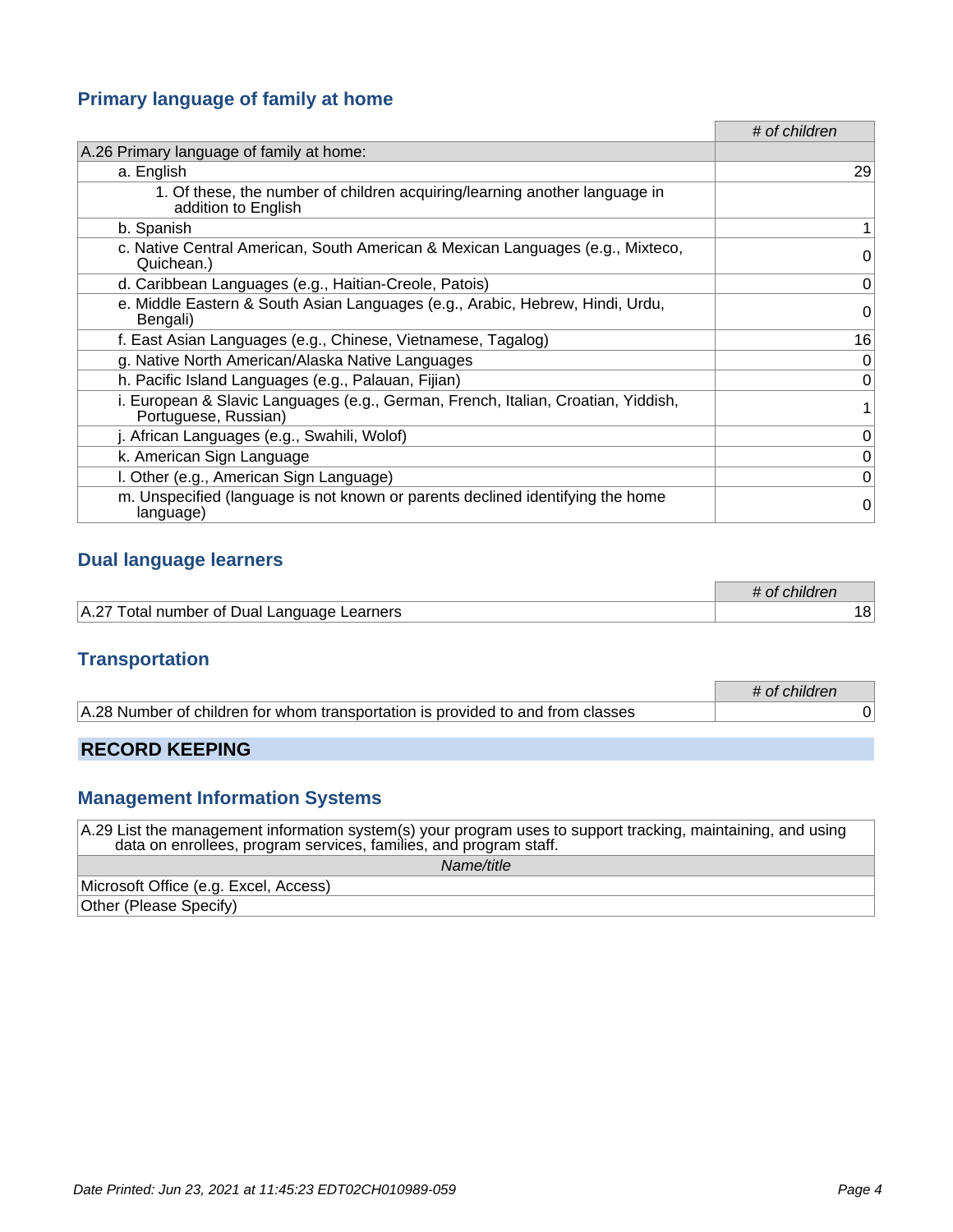### **Primary language of family at home**

|                                                                                                           | # of children |
|-----------------------------------------------------------------------------------------------------------|---------------|
| A.26 Primary language of family at home:                                                                  |               |
| a. English                                                                                                | 29            |
| 1. Of these, the number of children acquiring/learning another language in<br>addition to English         |               |
| b. Spanish                                                                                                |               |
| c. Native Central American, South American & Mexican Languages (e.g., Mixteco,<br>Quichean.)              | 0             |
| d. Caribbean Languages (e.g., Haitian-Creole, Patois)                                                     | 0             |
| e. Middle Eastern & South Asian Languages (e.g., Arabic, Hebrew, Hindi, Urdu,<br>Bengali)                 | $\Omega$      |
| f. East Asian Languages (e.g., Chinese, Vietnamese, Tagalog)                                              | 16            |
| g. Native North American/Alaska Native Languages                                                          | 0             |
| h. Pacific Island Languages (e.g., Palauan, Fijian)                                                       | 0             |
| i. European & Slavic Languages (e.g., German, French, Italian, Croatian, Yiddish,<br>Portuguese, Russian) |               |
| j. African Languages (e.g., Swahili, Wolof)                                                               | 0             |
| k. American Sign Language                                                                                 | 0             |
| I. Other (e.g., American Sign Language)                                                                   | $\Omega$      |
| m. Unspecified (language is not known or parents declined identifying the home<br>language)               | 0             |

### **Dual language learners**

|                                             | hıldren |
|---------------------------------------------|---------|
| A.27 Total number of Dual Language Learners | 8       |

### **Transportation**

|                                                                                 | # of children |
|---------------------------------------------------------------------------------|---------------|
| A.28 Number of children for whom transportation is provided to and from classes |               |

### **RECORD KEEPING**

### **Management Information Systems**

A.29 List the management information system(s) your program uses to support tracking, maintaining, and using data on enrollees, program services, families, and program staff.

Name/title

#### Microsoft Office (e.g. Excel, Access)

Other (Please Specify)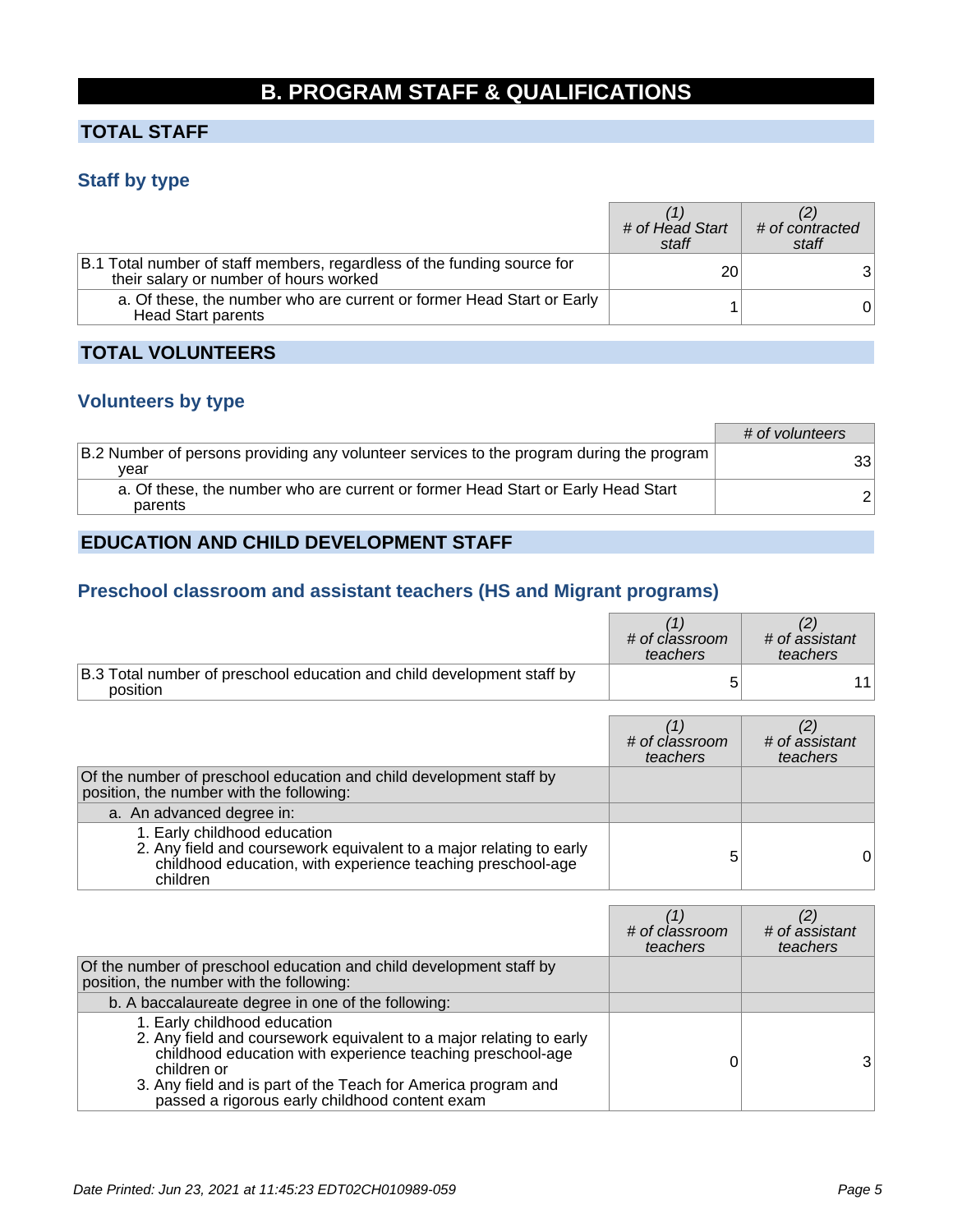## **B. PROGRAM STAFF & QUALIFICATIONS**

## **TOTAL STAFF**

### **Staff by type**

| B.1 Total number of staff members, regardless of the funding source for<br>20<br>their salary or number of hours worked<br>a. Of these, the number who are current or former Head Start or Early |                           | # of Head Start<br>staff | # of contracted<br>staff |
|--------------------------------------------------------------------------------------------------------------------------------------------------------------------------------------------------|---------------------------|--------------------------|--------------------------|
|                                                                                                                                                                                                  |                           |                          |                          |
|                                                                                                                                                                                                  | <b>Head Start parents</b> |                          |                          |

### **TOTAL VOLUNTEERS**

### **Volunteers by type**

|                                                                                                  | # of volunteers |
|--------------------------------------------------------------------------------------------------|-----------------|
| B.2 Number of persons providing any volunteer services to the program during the program<br>vear | 331             |
| a. Of these, the number who are current or former Head Start or Early Head Start<br>parents      |                 |

## **EDUCATION AND CHILD DEVELOPMENT STAFF**

## **Preschool classroom and assistant teachers (HS and Migrant programs)**

|                                                                                    | # of classroom<br>teachers | # of assistant<br>teachers |
|------------------------------------------------------------------------------------|----------------------------|----------------------------|
| B.3 Total number of preschool education and child development staff by<br>position | 5                          |                            |

|                                                                                                                                                                                | # of classroom<br>teachers | # of assistant<br>teachers |
|--------------------------------------------------------------------------------------------------------------------------------------------------------------------------------|----------------------------|----------------------------|
| Of the number of preschool education and child development staff by<br>position, the number with the following:                                                                |                            |                            |
| a. An advanced degree in:                                                                                                                                                      |                            |                            |
| 1. Early childhood education<br>2. Any field and coursework equivalent to a major relating to early<br>childhood education, with experience teaching preschool-age<br>children |                            | $0^{\circ}$                |

|                                                                                                                                                                                                                                                                                                     | # of classroom<br>teachers | (∠)<br>t≠ of assistant<br>teachers |
|-----------------------------------------------------------------------------------------------------------------------------------------------------------------------------------------------------------------------------------------------------------------------------------------------------|----------------------------|------------------------------------|
| Of the number of preschool education and child development staff by<br>position, the number with the following:                                                                                                                                                                                     |                            |                                    |
| b. A baccalaureate degree in one of the following:                                                                                                                                                                                                                                                  |                            |                                    |
| 1. Early childhood education<br>2. Any field and coursework equivalent to a major relating to early<br>childhood education with experience teaching preschool-age<br>children or<br>3. Any field and is part of the Teach for America program and<br>passed a rigorous early childhood content exam |                            |                                    |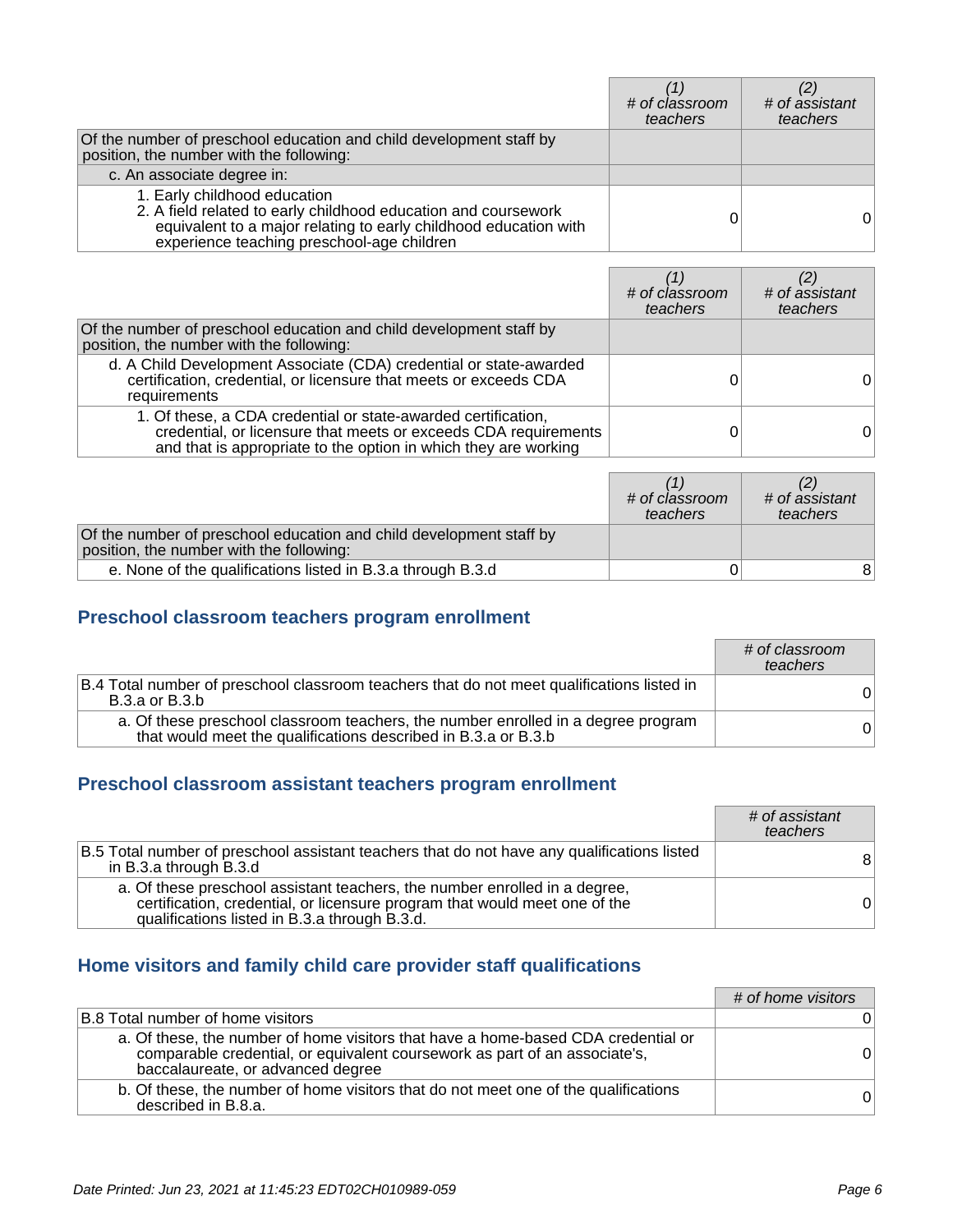|                                                                                                                                                                                                                  | # of classroom<br>teachers | # of assistant<br>teachers |
|------------------------------------------------------------------------------------------------------------------------------------------------------------------------------------------------------------------|----------------------------|----------------------------|
| Of the number of preschool education and child development staff by<br>position, the number with the following:                                                                                                  |                            |                            |
| c. An associate degree in:                                                                                                                                                                                       |                            |                            |
| 1. Early childhood education<br>2. A field related to early childhood education and coursework<br>equivalent to a major relating to early childhood education with<br>experience teaching preschool-age children |                            | 01                         |

|                                                                                                                                                                                                     | # of classroom<br>teachers | # of assistant<br>teachers |
|-----------------------------------------------------------------------------------------------------------------------------------------------------------------------------------------------------|----------------------------|----------------------------|
| Of the number of preschool education and child development staff by<br>position, the number with the following:                                                                                     |                            |                            |
| d. A Child Development Associate (CDA) credential or state-awarded<br>certification, credential, or licensure that meets or exceeds CDA<br>requirements                                             |                            | 0                          |
| 1. Of these, a CDA credential or state-awarded certification,<br>credential, or licensure that meets or exceeds CDA requirements<br>and that is appropriate to the option in which they are working |                            | 0                          |

|                                                                                                                 | # of classroom<br>teachers | # of assistant<br>teachers |
|-----------------------------------------------------------------------------------------------------------------|----------------------------|----------------------------|
| Of the number of preschool education and child development staff by<br>position, the number with the following: |                            |                            |
| e. None of the qualifications listed in B.3.a through B.3.d                                                     |                            | 8                          |

### **Preschool classroom teachers program enrollment**

|                                                                                                                                                     | # of classroom<br>teachers |
|-----------------------------------------------------------------------------------------------------------------------------------------------------|----------------------------|
| B.4 Total number of preschool classroom teachers that do not meet qualifications listed in<br><b>B.3.a or B.3.b</b>                                 | $\Omega$                   |
| a. Of these preschool classroom teachers, the number enrolled in a degree program<br>that would meet the qualifications described in B.3.a or B.3.b | $\Omega$                   |

### **Preschool classroom assistant teachers program enrollment**

|                                                                                                                                                                                                           | # of assistant<br>teachers |
|-----------------------------------------------------------------------------------------------------------------------------------------------------------------------------------------------------------|----------------------------|
| B.5 Total number of preschool assistant teachers that do not have any qualifications listed<br>in B.3.a through B.3.d                                                                                     | 8                          |
| a. Of these preschool assistant teachers, the number enrolled in a degree,<br>certification, credential, or licensure program that would meet one of the<br>qualifications listed in B.3.a through B.3.d. | $\Omega$                   |

## **Home visitors and family child care provider staff qualifications**

|                                                                                                                                                                                                      | # of home visitors |
|------------------------------------------------------------------------------------------------------------------------------------------------------------------------------------------------------|--------------------|
| B.8 Total number of home visitors                                                                                                                                                                    |                    |
| a. Of these, the number of home visitors that have a home-based CDA credential or<br>comparable credential, or equivalent coursework as part of an associate's,<br>baccalaureate, or advanced degree | $\Omega$           |
| b. Of these, the number of home visitors that do not meet one of the qualifications<br>described in B.8.a.                                                                                           | $\Omega$           |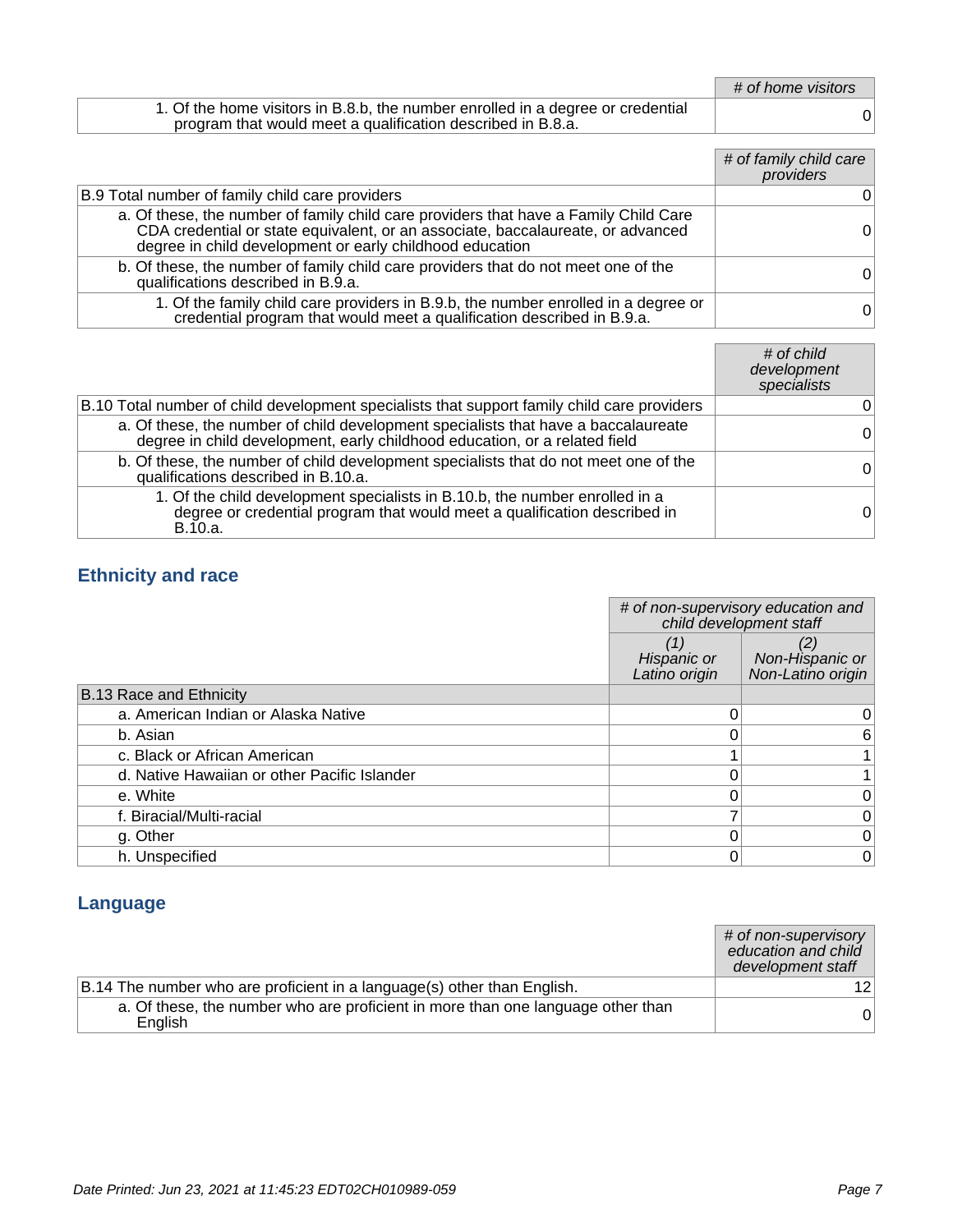|  | # of home visitors |
|--|--------------------|
|  |                    |

| 1. Of the home visitors in B.8.b, the number enrolled in a degree or credential |  |
|---------------------------------------------------------------------------------|--|
| program that would meet a qualification described in B.8.a.                     |  |

|                                                                                                                                                                                                                                     | # of family child care<br>providers |
|-------------------------------------------------------------------------------------------------------------------------------------------------------------------------------------------------------------------------------------|-------------------------------------|
| B.9 Total number of family child care providers                                                                                                                                                                                     | 0                                   |
| a. Of these, the number of family child care providers that have a Family Child Care<br>CDA credential or state equivalent, or an associate, baccalaureate, or advanced<br>degree in child development or early childhood education | 0                                   |
| b. Of these, the number of family child care providers that do not meet one of the<br>qualifications described in B.9.a.                                                                                                            | 0                                   |
| 1. Of the family child care providers in B.9.b, the number enrolled in a degree or<br>credential program that would meet a qualification described in B.9.a.                                                                        | 0                                   |

|                                                                                                                                                                     | $#$ of child<br>development<br>specialists |
|---------------------------------------------------------------------------------------------------------------------------------------------------------------------|--------------------------------------------|
| B.10 Total number of child development specialists that support family child care providers                                                                         | $\Omega$                                   |
| a. Of these, the number of child development specialists that have a baccalaureate<br>degree in child development, early childhood education, or a related field    | $\Omega$                                   |
| b. Of these, the number of child development specialists that do not meet one of the<br>qualifications described in B.10.a.                                         | $\Omega$                                   |
| 1. Of the child development specialists in B.10.b, the number enrolled in a<br>degree or credential program that would meet a qualification described in<br>B.10.a. | $\Omega$                                   |

## **Ethnicity and race**

|                                              | # of non-supervisory education and<br>child development staff |                                      |
|----------------------------------------------|---------------------------------------------------------------|--------------------------------------|
|                                              | Hispanic or<br>Latino origin                                  | Non-Hispanic or<br>Non-Latino origin |
| <b>B.13 Race and Ethnicity</b>               |                                                               |                                      |
| a. American Indian or Alaska Native          |                                                               | 0                                    |
| b. Asian                                     |                                                               | 6                                    |
| c. Black or African American                 |                                                               |                                      |
| d. Native Hawaiian or other Pacific Islander |                                                               |                                      |
| e. White                                     |                                                               | 0                                    |
| f. Biracial/Multi-racial                     |                                                               | 0                                    |
| g. Other                                     |                                                               | 0                                    |
| h. Unspecified                               |                                                               | 0                                    |

## **Language**

|                                                                                            | # of non-supervisory<br>education and child<br>development staff |
|--------------------------------------------------------------------------------------------|------------------------------------------------------------------|
| B.14 The number who are proficient in a language(s) other than English.                    | 121                                                              |
| a. Of these, the number who are proficient in more than one language other than<br>English | $\Omega$                                                         |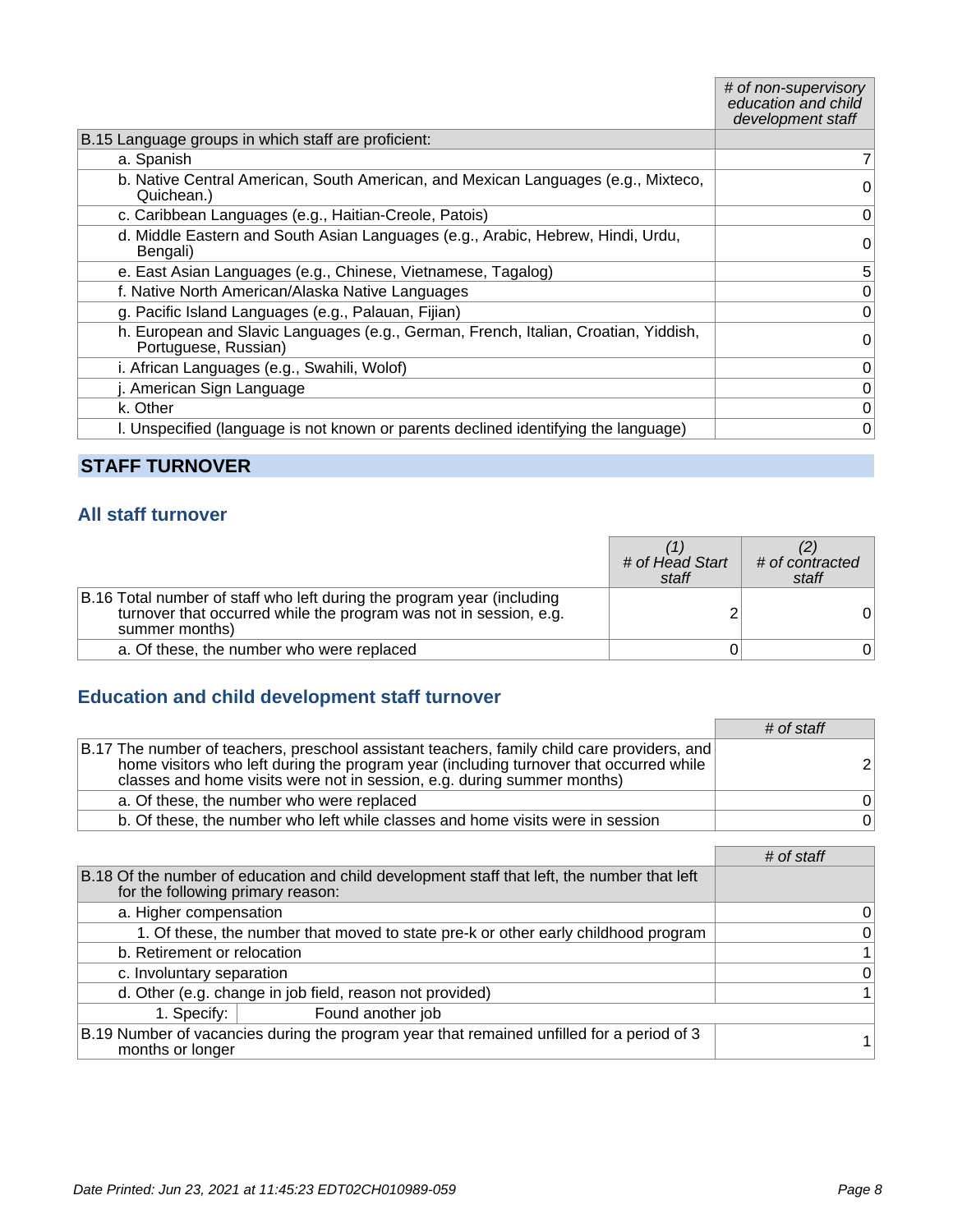|                                                                                                             | # of non-supervisory<br>education and child<br>development staff |
|-------------------------------------------------------------------------------------------------------------|------------------------------------------------------------------|
| B.15 Language groups in which staff are proficient:                                                         |                                                                  |
| a. Spanish                                                                                                  |                                                                  |
| b. Native Central American, South American, and Mexican Languages (e.g., Mixteco,<br>Quichean.)             | 0                                                                |
| c. Caribbean Languages (e.g., Haitian-Creole, Patois)                                                       | 0                                                                |
| d. Middle Eastern and South Asian Languages (e.g., Arabic, Hebrew, Hindi, Urdu,<br>Bengali)                 | 0                                                                |
| e. East Asian Languages (e.g., Chinese, Vietnamese, Tagalog)                                                | 5                                                                |
| f. Native North American/Alaska Native Languages                                                            |                                                                  |
| g. Pacific Island Languages (e.g., Palauan, Fijian)                                                         | 0                                                                |
| h. European and Slavic Languages (e.g., German, French, Italian, Croatian, Yiddish,<br>Portuguese, Russian) | 0                                                                |
| i. African Languages (e.g., Swahili, Wolof)                                                                 | 0                                                                |
| j. American Sign Language                                                                                   |                                                                  |
| k. Other                                                                                                    |                                                                  |
| I. Unspecified (language is not known or parents declined identifying the language)                         | 0                                                                |

## **STAFF TURNOVER**

## **All staff turnover**

|                                                                                                                                                               | # of Head Start<br>staff | # of contracted<br>staff |
|---------------------------------------------------------------------------------------------------------------------------------------------------------------|--------------------------|--------------------------|
| B.16 Total number of staff who left during the program year (including<br>turnover that occurred while the program was not in session, e.g.<br>summer months) |                          |                          |
| a. Of these, the number who were replaced                                                                                                                     |                          |                          |

## **Education and child development staff turnover**

|                                                                                                                                                                                                                                                                  | # of staff |
|------------------------------------------------------------------------------------------------------------------------------------------------------------------------------------------------------------------------------------------------------------------|------------|
| B.17 The number of teachers, preschool assistant teachers, family child care providers, and<br>home visitors who left during the program year (including turnover that occurred while<br>classes and home visits were not in session, e.g. during summer months) |            |
| a. Of these, the number who were replaced                                                                                                                                                                                                                        | $\Omega$   |
| b. Of these, the number who left while classes and home visits were in session                                                                                                                                                                                   | 0          |

|                                                                                                                                  | # of staff     |
|----------------------------------------------------------------------------------------------------------------------------------|----------------|
| B.18 Of the number of education and child development staff that left, the number that left<br>for the following primary reason: |                |
| a. Higher compensation                                                                                                           | $\overline{0}$ |
| 1. Of these, the number that moved to state pre-k or other early childhood program                                               | $\overline{0}$ |
| b. Retirement or relocation                                                                                                      | 1 <sup>1</sup> |
| c. Involuntary separation                                                                                                        | $\overline{0}$ |
| d. Other (e.g. change in job field, reason not provided)                                                                         |                |
| Found another job<br>1. Specify:                                                                                                 |                |
| B.19 Number of vacancies during the program year that remained unfilled for a period of 3<br>months or longer                    |                |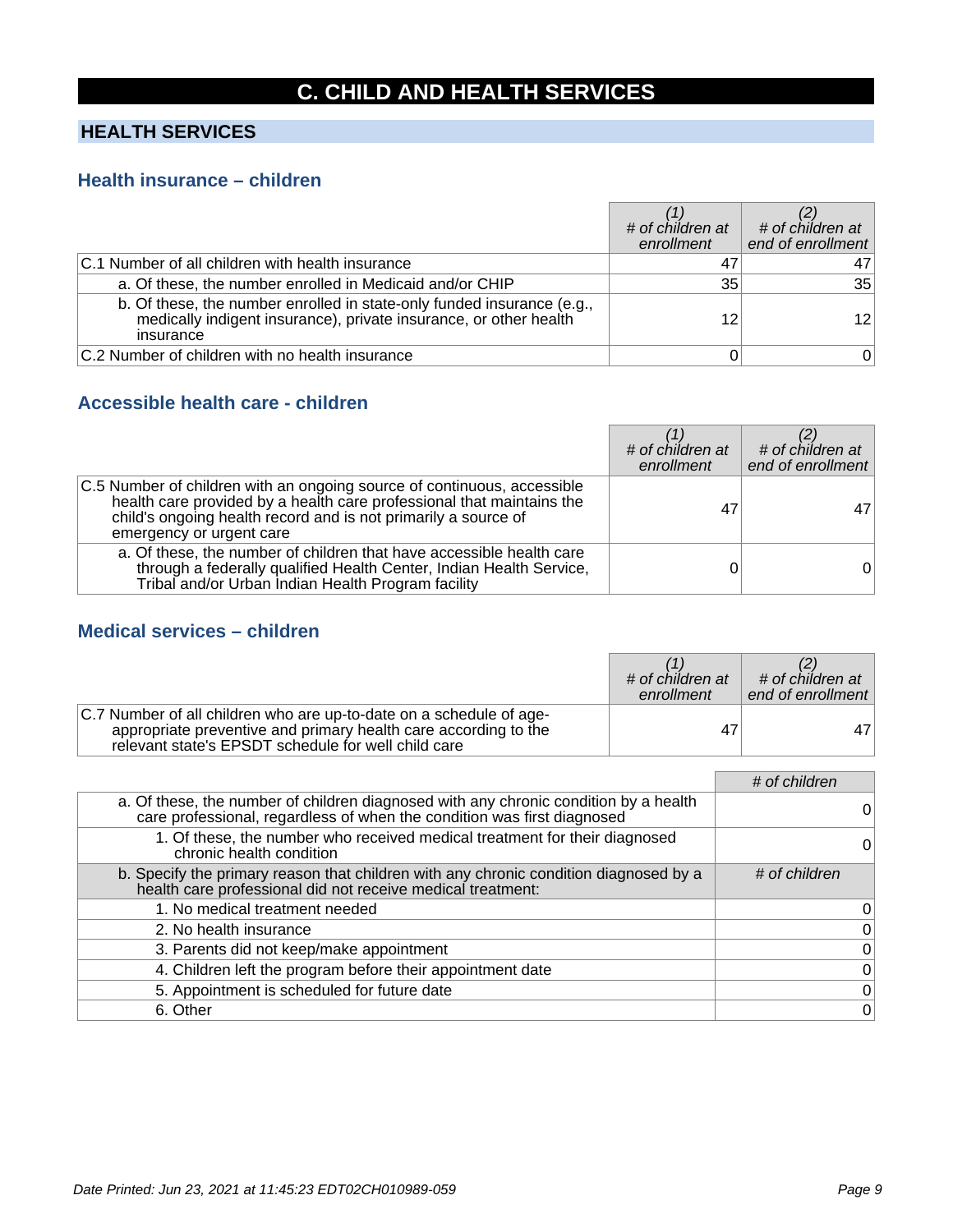## **C. CHILD AND HEALTH SERVICES**

## **HEALTH SERVICES**

### **Health insurance – children**

|                                                                                                                                                       | # of children at<br>enrollment | # of children at<br>end of enrollment |
|-------------------------------------------------------------------------------------------------------------------------------------------------------|--------------------------------|---------------------------------------|
| C.1 Number of all children with health insurance                                                                                                      |                                |                                       |
| a. Of these, the number enrolled in Medicaid and/or CHIP                                                                                              | 35                             | 35                                    |
| b. Of these, the number enrolled in state-only funded insurance (e.g., medically indigent insurance), private insurance, or other health<br>insurance | 12                             | 12 <sub>1</sub>                       |
| C.2 Number of children with no health insurance                                                                                                       |                                | $\Omega$                              |

### **Accessible health care - children**

|                                                                                                                                                                                                                                                | # of children at<br>enrollment | # of children at<br>end of enrollment |
|------------------------------------------------------------------------------------------------------------------------------------------------------------------------------------------------------------------------------------------------|--------------------------------|---------------------------------------|
| C.5 Number of children with an ongoing source of continuous, accessible<br>health care provided by a health care professional that maintains the<br>child's ongoing health record and is not primarily a source of<br>emergency or urgent care | 47                             | 47                                    |
| a. Of these, the number of children that have accessible health care<br>through a federally qualified Health Center, Indian Health Service,<br>Tribal and/or Urban Indian Health Program facility                                              |                                |                                       |

### **Medical services – children**

|                                                                                                                                                                                               | # of children at<br>enrollment | # of children at<br>end of enrollment |
|-----------------------------------------------------------------------------------------------------------------------------------------------------------------------------------------------|--------------------------------|---------------------------------------|
| C.7 Number of all children who are up-to-date on a schedule of age-<br>appropriate preventive and primary health care according to the<br>relevant state's EPSDT schedule for well child care |                                | 47 <sup>1</sup>                       |

|                                                                                                                                                                 | # of children |
|-----------------------------------------------------------------------------------------------------------------------------------------------------------------|---------------|
| a. Of these, the number of children diagnosed with any chronic condition by a health<br>care professional, regardless of when the condition was first diagnosed |               |
| 1. Of these, the number who received medical treatment for their diagnosed<br>chronic health condition                                                          |               |
| b. Specify the primary reason that children with any chronic condition diagnosed by a health care professional did not receive medical treatment:               | # of children |
| 1. No medical treatment needed                                                                                                                                  | 0             |
| 2. No health insurance                                                                                                                                          | $\Omega$      |
| 3. Parents did not keep/make appointment                                                                                                                        | 0             |
| 4. Children left the program before their appointment date                                                                                                      | $\Omega$      |
| 5. Appointment is scheduled for future date                                                                                                                     | 0             |
| 6. Other                                                                                                                                                        | 0             |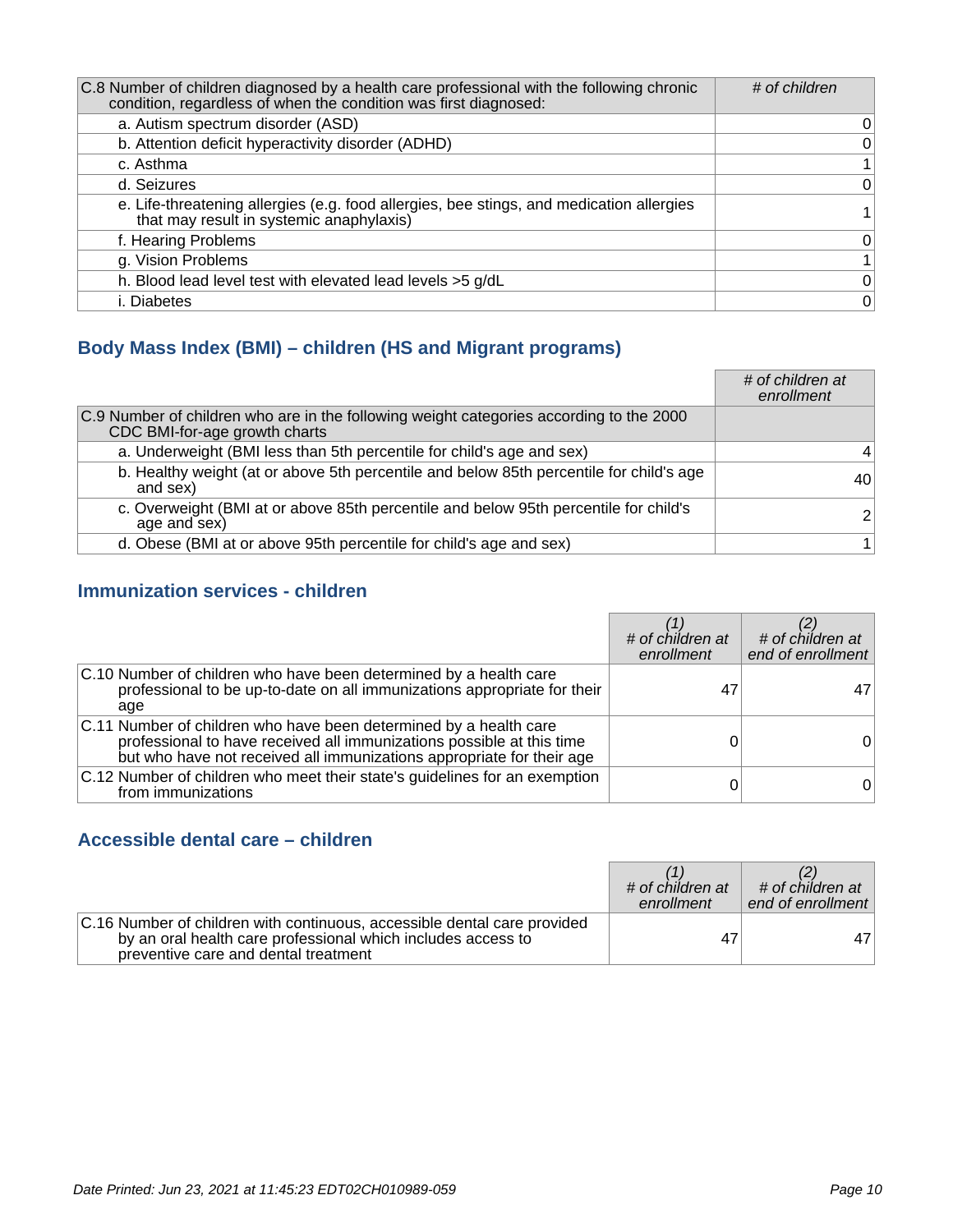| C.8 Number of children diagnosed by a health care professional with the following chronic<br>condition, regardless of when the condition was first diagnosed: | # of children |
|---------------------------------------------------------------------------------------------------------------------------------------------------------------|---------------|
| a. Autism spectrum disorder (ASD)                                                                                                                             | 0             |
| b. Attention deficit hyperactivity disorder (ADHD)                                                                                                            | $\pmb{0}$     |
| c. Asthma                                                                                                                                                     | $\mathbf{1}$  |
| d. Seizures                                                                                                                                                   | 0             |
| e. Life-threatening allergies (e.g. food allergies, bee stings, and medication allergies<br>that may result in systemic anaphylaxis)                          | 1             |
| f. Hearing Problems                                                                                                                                           | 0             |
| g. Vision Problems                                                                                                                                            | $\mathbf{1}$  |
| h. Blood lead level test with elevated lead levels > 5 g/dL                                                                                                   | $\pmb{0}$     |
| i. Diabetes                                                                                                                                                   | $\mathbf 0$   |
|                                                                                                                                                               |               |

## **Body Mass Index (BMI) – children (HS and Migrant programs)**

|                                                                                                                          | # of children at<br>enrollment |
|--------------------------------------------------------------------------------------------------------------------------|--------------------------------|
| C.9 Number of children who are in the following weight categories according to the 2000<br>CDC BMI-for-age growth charts |                                |
| a. Underweight (BMI less than 5th percentile for child's age and sex)                                                    | 4                              |
| b. Healthy weight (at or above 5th percentile and below 85th percentile for child's age<br>and sex)                      | 40                             |
| c. Overweight (BMI at or above 85th percentile and below 95th percentile for child's<br>age and sex)                     | 2                              |
| d. Obese (BMI at or above 95th percentile for child's age and sex)                                                       |                                |

### **Immunization services - children**

|                                                                                                                                                                                                                     | # of children at<br>enrollment | # of children at<br>end of enrollment |
|---------------------------------------------------------------------------------------------------------------------------------------------------------------------------------------------------------------------|--------------------------------|---------------------------------------|
| C.10 Number of children who have been determined by a health care<br>professional to be up-to-date on all immunizations appropriate for their<br>age                                                                | 47                             | 47                                    |
| C.11 Number of children who have been determined by a health care<br>professional to have received all immunizations possible at this time<br>but who have not received all immunizations appropriate for their age |                                | 0                                     |
| C.12 Number of children who meet their state's guidelines for an exemption<br>from immunizations                                                                                                                    |                                | 0                                     |

### **Accessible dental care – children**

|                                                                                                                                                                                  | # of children at<br>enrollment | # of children at<br>end of enrollment |
|----------------------------------------------------------------------------------------------------------------------------------------------------------------------------------|--------------------------------|---------------------------------------|
| C.16 Number of children with continuous, accessible dental care provided<br>by an oral health care professional which includes access to<br>preventive care and dental treatment | 47                             | 47                                    |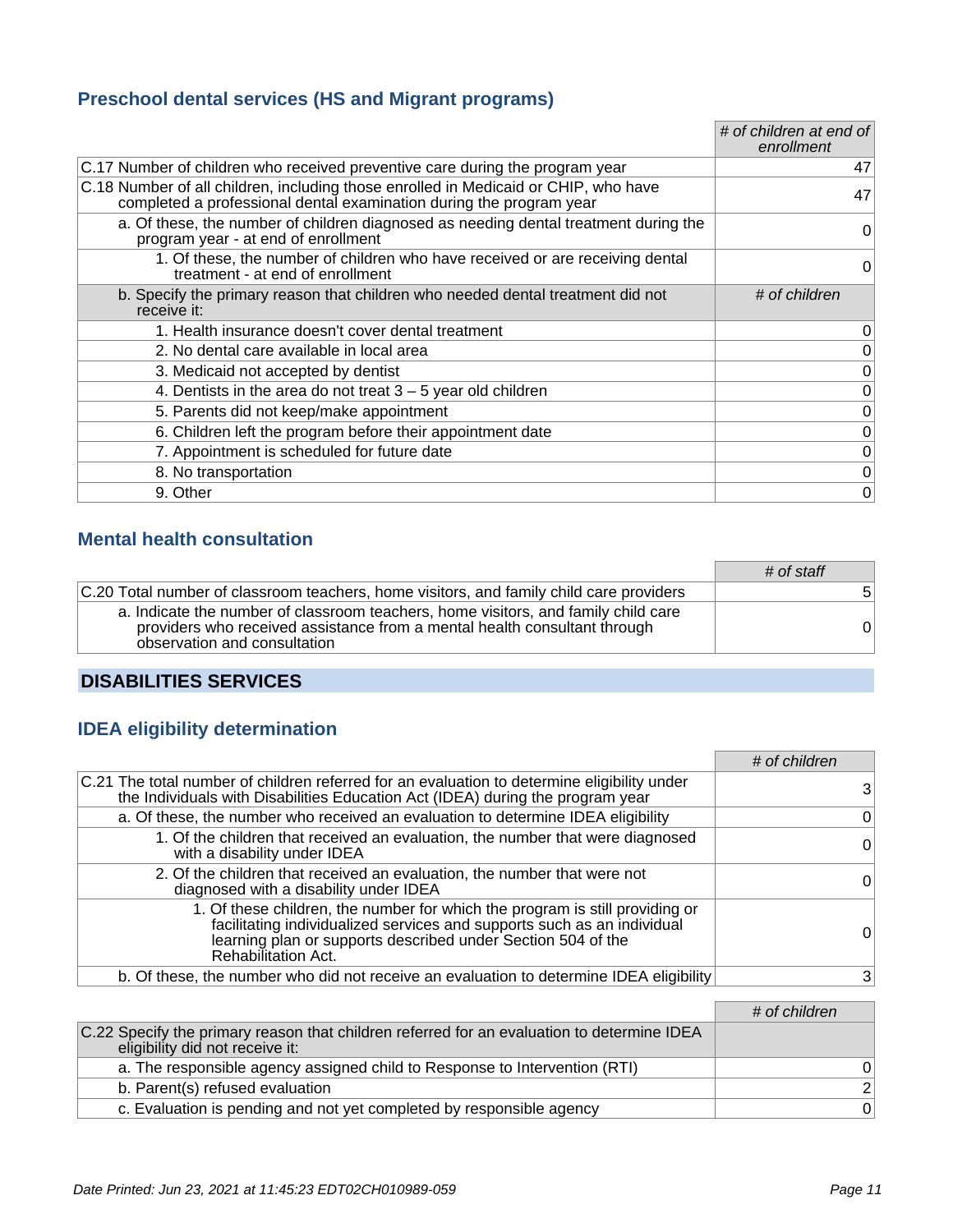## **Preschool dental services (HS and Migrant programs)**

|                                                                                                                                                            | # of children at end of<br>enrollment |
|------------------------------------------------------------------------------------------------------------------------------------------------------------|---------------------------------------|
| C.17 Number of children who received preventive care during the program year                                                                               | 47                                    |
| C.18 Number of all children, including those enrolled in Medicaid or CHIP, who have<br>completed a professional dental examination during the program year | 47                                    |
| a. Of these, the number of children diagnosed as needing dental treatment during the<br>program year - at end of enrollment                                | $\Omega$                              |
| 1. Of these, the number of children who have received or are receiving dental<br>treatment - at end of enrollment                                          | $\Omega$                              |
| b. Specify the primary reason that children who needed dental treatment did not<br>receive it:                                                             | # of children                         |
| 1. Health insurance doesn't cover dental treatment                                                                                                         | 0                                     |
| 2. No dental care available in local area                                                                                                                  | 0                                     |
| 3. Medicaid not accepted by dentist                                                                                                                        | $\Omega$                              |
| 4. Dentists in the area do not treat $3 - 5$ year old children                                                                                             | $\Omega$                              |
| 5. Parents did not keep/make appointment                                                                                                                   | $\Omega$                              |
| 6. Children left the program before their appointment date                                                                                                 | $\Omega$                              |
| 7. Appointment is scheduled for future date                                                                                                                | $\Omega$                              |
| 8. No transportation                                                                                                                                       | $\mathbf{0}$                          |
| 9. Other                                                                                                                                                   | 0                                     |

### **Mental health consultation**

|                                                                                                                                                                                                 | # of staff     |
|-------------------------------------------------------------------------------------------------------------------------------------------------------------------------------------------------|----------------|
| C.20 Total number of classroom teachers, home visitors, and family child care providers                                                                                                         | 5 <sub>1</sub> |
| a. Indicate the number of classroom teachers, home visitors, and family child care<br>providers who received assistance from a mental health consultant through<br>observation and consultation | 01             |

### **DISABILITIES SERVICES**

## **IDEA eligibility determination**

|                                                                                                                                                                                                                                                | # of children |
|------------------------------------------------------------------------------------------------------------------------------------------------------------------------------------------------------------------------------------------------|---------------|
| C.21 The total number of children referred for an evaluation to determine eligibility under<br>the Individuals with Disabilities Education Act (IDEA) during the program year                                                                  | 3             |
| a. Of these, the number who received an evaluation to determine IDEA eligibility                                                                                                                                                               | 0             |
| 1. Of the children that received an evaluation, the number that were diagnosed<br>with a disability under IDEA                                                                                                                                 | 0             |
| 2. Of the children that received an evaluation, the number that were not<br>diagnosed with a disability under IDEA                                                                                                                             | 0             |
| 1. Of these children, the number for which the program is still providing or<br>facilitating individualized services and supports such as an individual<br>learning plan or supports described under Section 504 of the<br>Rehabilitation Act. | 0             |
| b. Of these, the number who did not receive an evaluation to determine IDEA eligibility                                                                                                                                                        | 3             |

|                                                                                                                               | # of children |
|-------------------------------------------------------------------------------------------------------------------------------|---------------|
| C.22 Specify the primary reason that children referred for an evaluation to determine IDEA<br>eligibility did not receive it: |               |
| a. The responsible agency assigned child to Response to Intervention (RTI)                                                    |               |
| b. Parent(s) refused evaluation                                                                                               | $\mathcal{D}$ |
| c. Evaluation is pending and not yet completed by responsible agency                                                          |               |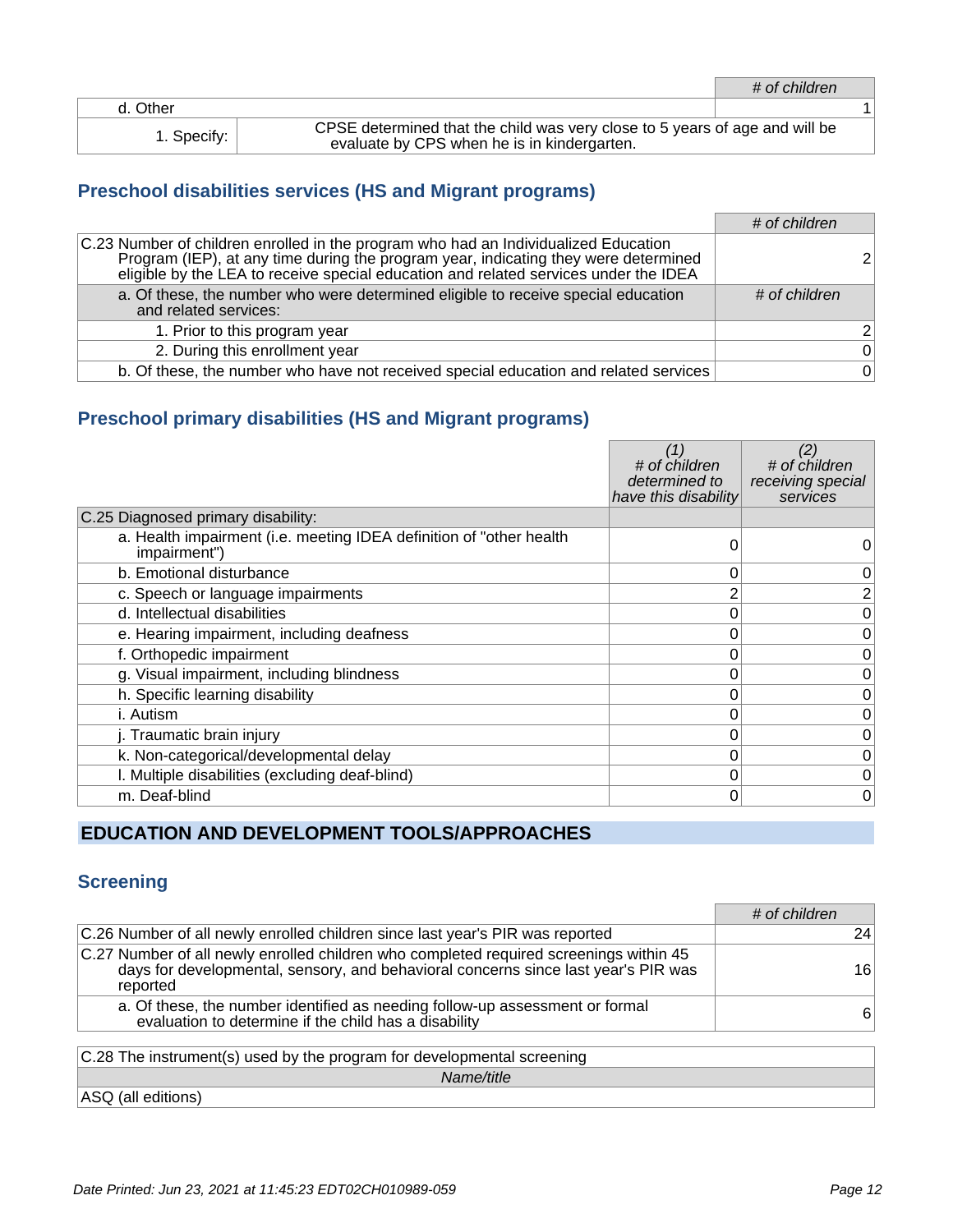| d. Other                                                                                                                                  |  |
|-------------------------------------------------------------------------------------------------------------------------------------------|--|
| CPSE determined that the child was very close to 5 years of age and will be<br>1. Specify:<br>evaluate by CPS when he is in kindergarten. |  |

### **Preschool disabilities services (HS and Migrant programs)**

|                                                                                                                                                                                                                                                                    | # of children |                |
|--------------------------------------------------------------------------------------------------------------------------------------------------------------------------------------------------------------------------------------------------------------------|---------------|----------------|
| C.23 Number of children enrolled in the program who had an Individualized Education<br>Program (IEP), at any time during the program year, indicating they were determined<br>eligible by the LEA to receive special education and related services under the IDEA |               | 2              |
| a. Of these, the number who were determined eligible to receive special education<br>and related services:                                                                                                                                                         | # of children |                |
| 1. Prior to this program year                                                                                                                                                                                                                                      |               | $\overline{2}$ |
| 2. During this enrollment year                                                                                                                                                                                                                                     |               | $\Omega$       |
| b. Of these, the number who have not received special education and related services                                                                                                                                                                               |               | $\Omega$       |

### **Preschool primary disabilities (HS and Migrant programs)**

|                                                                                     | (1)<br># of children<br>determined to<br>have this disability | $(2)$ # of children<br>receiving special<br>services |
|-------------------------------------------------------------------------------------|---------------------------------------------------------------|------------------------------------------------------|
| C.25 Diagnosed primary disability:                                                  |                                                               |                                                      |
| a. Health impairment (i.e. meeting IDEA definition of "other health<br>impairment") | Ω                                                             | 0                                                    |
| b. Emotional disturbance                                                            | ი                                                             |                                                      |
| c. Speech or language impairments                                                   |                                                               |                                                      |
| d. Intellectual disabilities                                                        |                                                               |                                                      |
| e. Hearing impairment, including deafness                                           |                                                               | 0                                                    |
| f. Orthopedic impairment                                                            |                                                               | 0                                                    |
| g. Visual impairment, including blindness                                           |                                                               | 0                                                    |
| h. Specific learning disability                                                     |                                                               |                                                      |
| i. Autism                                                                           | 0                                                             |                                                      |
| j. Traumatic brain injury                                                           | 0                                                             |                                                      |
| k. Non-categorical/developmental delay                                              | 0                                                             |                                                      |
| I. Multiple disabilities (excluding deaf-blind)                                     | 0                                                             | 0                                                    |
| m. Deaf-blind                                                                       | 0                                                             | 0                                                    |

## **EDUCATION AND DEVELOPMENT TOOLS/APPROACHES**

### **Screening**

|                                                                                                                                                                                                                                                                                                           | # of children |
|-----------------------------------------------------------------------------------------------------------------------------------------------------------------------------------------------------------------------------------------------------------------------------------------------------------|---------------|
| C.26 Number of all newly enrolled children since last year's PIR was reported                                                                                                                                                                                                                             | 24            |
| C.27 Number of all newly enrolled children who completed required screenings within 45<br>days for developmental, sensory, and behavioral concerns since last year's PIR was<br>reported                                                                                                                  | 16            |
| a. Of these, the number identified as needing follow-up assessment or formal<br>evaluation to determine if the child has a disability                                                                                                                                                                     | 6             |
| $\bigcap_{i=1}^n$ , $\bigcup_{i=1}^n$ , $\bigcup_{i=1}^n$ , $\bigcup_{i=1}^n$ , $\bigcap_{i=1}^n$ , $\bigcap_{i=1}^n$ , $\bigcap_{i=1}^n$ , $\bigcap_{i=1}^n$ , $\bigcap_{i=1}^n$ , $\bigcap_{i=1}^n$ , $\bigcap_{i=1}^n$ , $\bigcap_{i=1}^n$ , $\bigcap_{i=1}^n$ , $\bigcap_{i=1}^n$ , $\bigcap_{i=1}^n$ |               |

C.28 The instrument(s) used by the program for developmental screening Name/title

ASQ (all editions)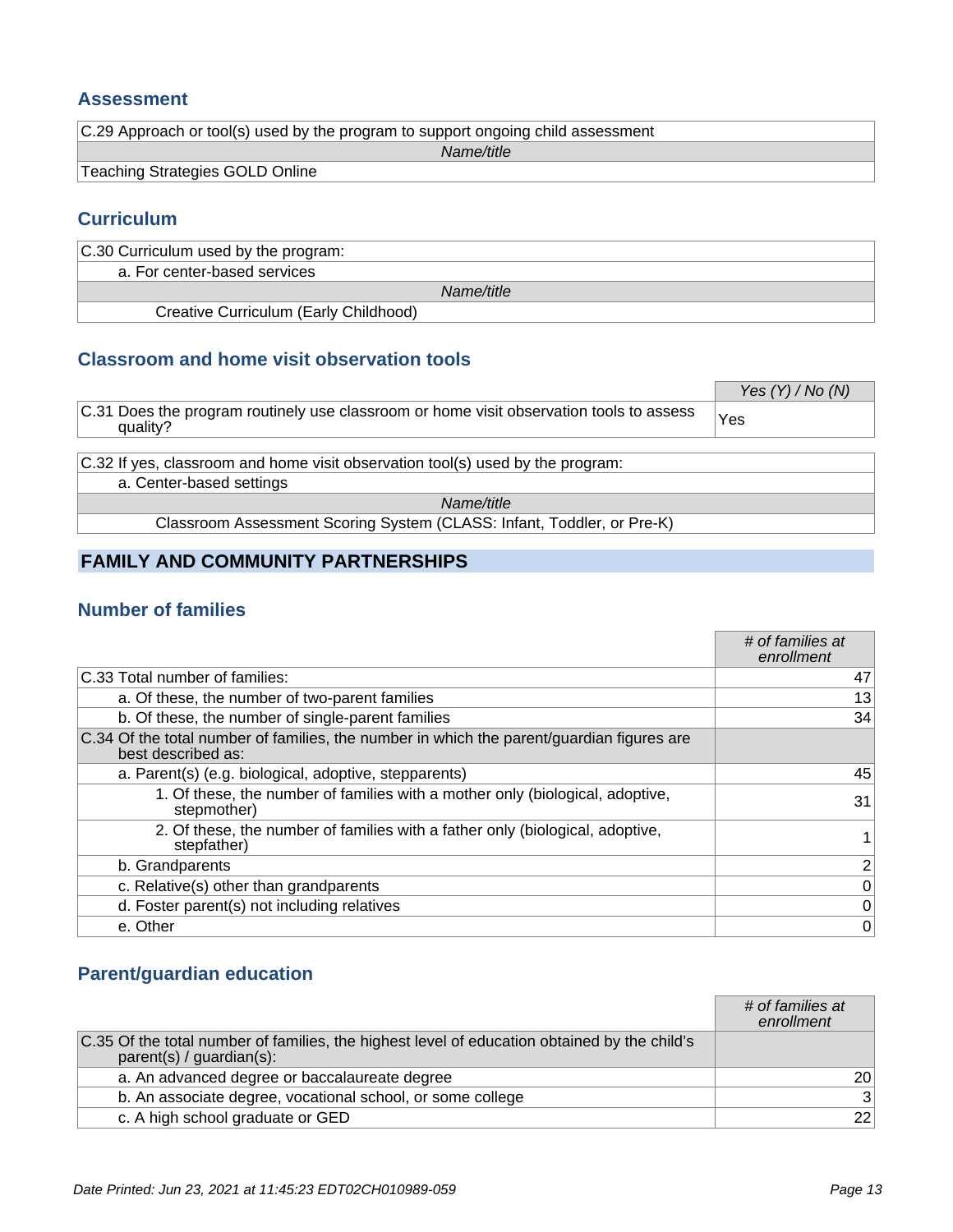#### **Assessment**

| C.29 Approach or tool(s) used by the program to support ongoing child assessment |
|----------------------------------------------------------------------------------|
| Name/title                                                                       |
| Teaching Strategies GOLD Online                                                  |

### **Curriculum**

| C.30 Curriculum used by the program:  |            |
|---------------------------------------|------------|
| a. For center-based services          |            |
|                                       | Name/title |
| Creative Curriculum (Early Childhood) |            |

### **Classroom and home visit observation tools**

Yes (Y) / No (N) C.31 Does the program routinely use classroom or home visit observation tools to assess quality? Yes

C.32 If yes, classroom and home visit observation tool(s) used by the program: a. Center-based settings Name/title

Classroom Assessment Scoring System (CLASS: Infant, Toddler, or Pre-K)

### **FAMILY AND COMMUNITY PARTNERSHIPS**

### **Number of families**

|                                                                                                                 | # of families at<br>enrollment |
|-----------------------------------------------------------------------------------------------------------------|--------------------------------|
| C.33 Total number of families:                                                                                  | 47                             |
| a. Of these, the number of two-parent families                                                                  | 13                             |
| b. Of these, the number of single-parent families                                                               | 34                             |
| C.34 Of the total number of families, the number in which the parent/guardian figures are<br>best described as: |                                |
| a. Parent(s) (e.g. biological, adoptive, stepparents)                                                           | 45                             |
| 1. Of these, the number of families with a mother only (biological, adoptive,<br>stepmother)                    | 31                             |
| 2. Of these, the number of families with a father only (biological, adoptive,<br>stepfather)                    |                                |
| b. Grandparents                                                                                                 |                                |
| c. Relative(s) other than grandparents                                                                          | 0                              |
| d. Foster parent(s) not including relatives                                                                     | $\mathbf 0$                    |
| e. Other                                                                                                        | $\mathbf 0$                    |

## **Parent/guardian education**

|                                                                                                                             | # of families at<br>enrollment |
|-----------------------------------------------------------------------------------------------------------------------------|--------------------------------|
| C.35 Of the total number of families, the highest level of education obtained by the child's<br>$parent(s) / quantian(s)$ : |                                |
| a. An advanced degree or baccalaureate degree                                                                               | 20 <sup>1</sup>                |
| b. An associate degree, vocational school, or some college                                                                  | 3                              |
| c. A high school graduate or GED                                                                                            | 22                             |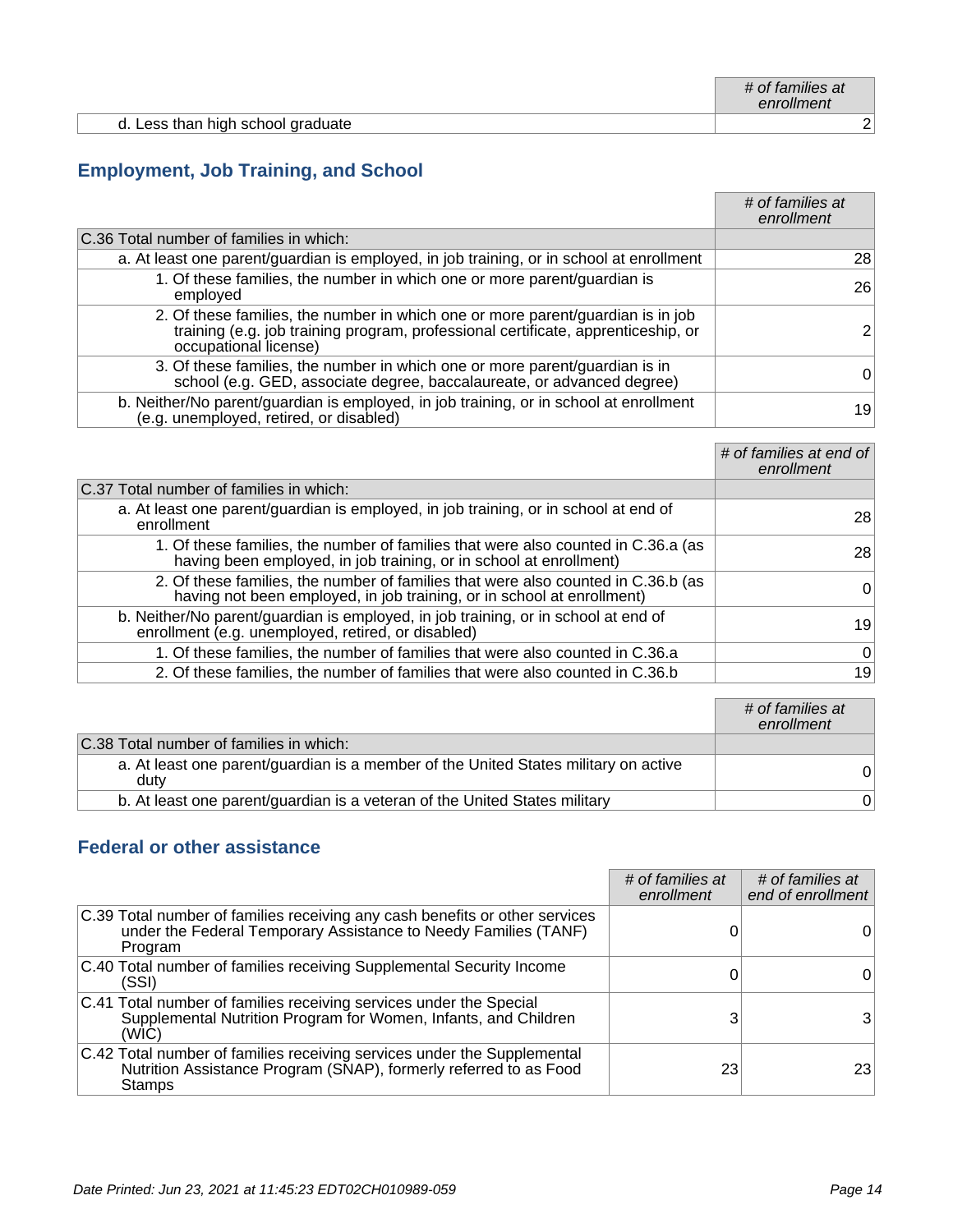|                                   | # of families at<br>enrollment |
|-----------------------------------|--------------------------------|
| d. Less than high school graduate |                                |

## **Employment, Job Training, and School**

|                                                                                                                                                                                               | # of families at<br>enrollment |
|-----------------------------------------------------------------------------------------------------------------------------------------------------------------------------------------------|--------------------------------|
| C.36 Total number of families in which:                                                                                                                                                       |                                |
| a. At least one parent/guardian is employed, in job training, or in school at enrollment                                                                                                      | 28                             |
| 1. Of these families, the number in which one or more parent/guardian is<br>employed                                                                                                          | 26                             |
| 2. Of these families, the number in which one or more parent/guardian is in job<br>training (e.g. job training program, professional certificate, apprenticeship, or<br>occupational license) | $\overline{2}$                 |
| 3. Of these families, the number in which one or more parent/guardian is in<br>school (e.g. GED, associate degree, baccalaureate, or advanced degree)                                         | $\Omega$                       |
| b. Neither/No parent/guardian is employed, in job training, or in school at enrollment<br>(e.g. unemployed, retired, or disabled)                                                             | 19                             |

|                                                                                                                                                             | # of families at end of<br>enrollment |
|-------------------------------------------------------------------------------------------------------------------------------------------------------------|---------------------------------------|
| C.37 Total number of families in which:                                                                                                                     |                                       |
| a. At least one parent/guardian is employed, in job training, or in school at end of<br>enrollment                                                          | 28                                    |
| 1. Of these families, the number of families that were also counted in C.36.a (as<br>having been employed, in job training, or in school at enrollment)     | 28                                    |
| 2. Of these families, the number of families that were also counted in C.36.b (as<br>having not been employed, in job training, or in school at enrollment) | 0                                     |
| b. Neither/No parent/guardian is employed, in job training, or in school at end of enrollment (e.g. unemployed, retired, or disabled)                       | 19                                    |
| 1. Of these families, the number of families that were also counted in C.36.a                                                                               | 0                                     |
| 2. Of these families, the number of families that were also counted in C.36.b                                                                               | 19                                    |

|                                                                                             | # of families at<br>enrollment |
|---------------------------------------------------------------------------------------------|--------------------------------|
| C.38 Total number of families in which:                                                     |                                |
| a. At least one parent/guardian is a member of the United States military on active<br>dutv | $\Omega$                       |
| b. At least one parent/guardian is a veteran of the United States military                  |                                |

### **Federal or other assistance**

|                                                                                                                                                               | # of families at<br>enrollment | # of families at<br>end of enrollment |
|---------------------------------------------------------------------------------------------------------------------------------------------------------------|--------------------------------|---------------------------------------|
| C.39 Total number of families receiving any cash benefits or other services<br>under the Federal Temporary Assistance to Needy Families (TANF)<br>Program     |                                |                                       |
| C.40 Total number of families receiving Supplemental Security Income<br>(SSI)                                                                                 |                                | 01                                    |
| C.41 Total number of families receiving services under the Special<br>Supplemental Nutrition Program for Women, Infants, and Children<br>(WIC)                |                                | 31                                    |
| C.42 Total number of families receiving services under the Supplemental<br>Nutrition Assistance Program (SNAP), formerly referred to as Food<br><b>Stamps</b> | 23                             | 23                                    |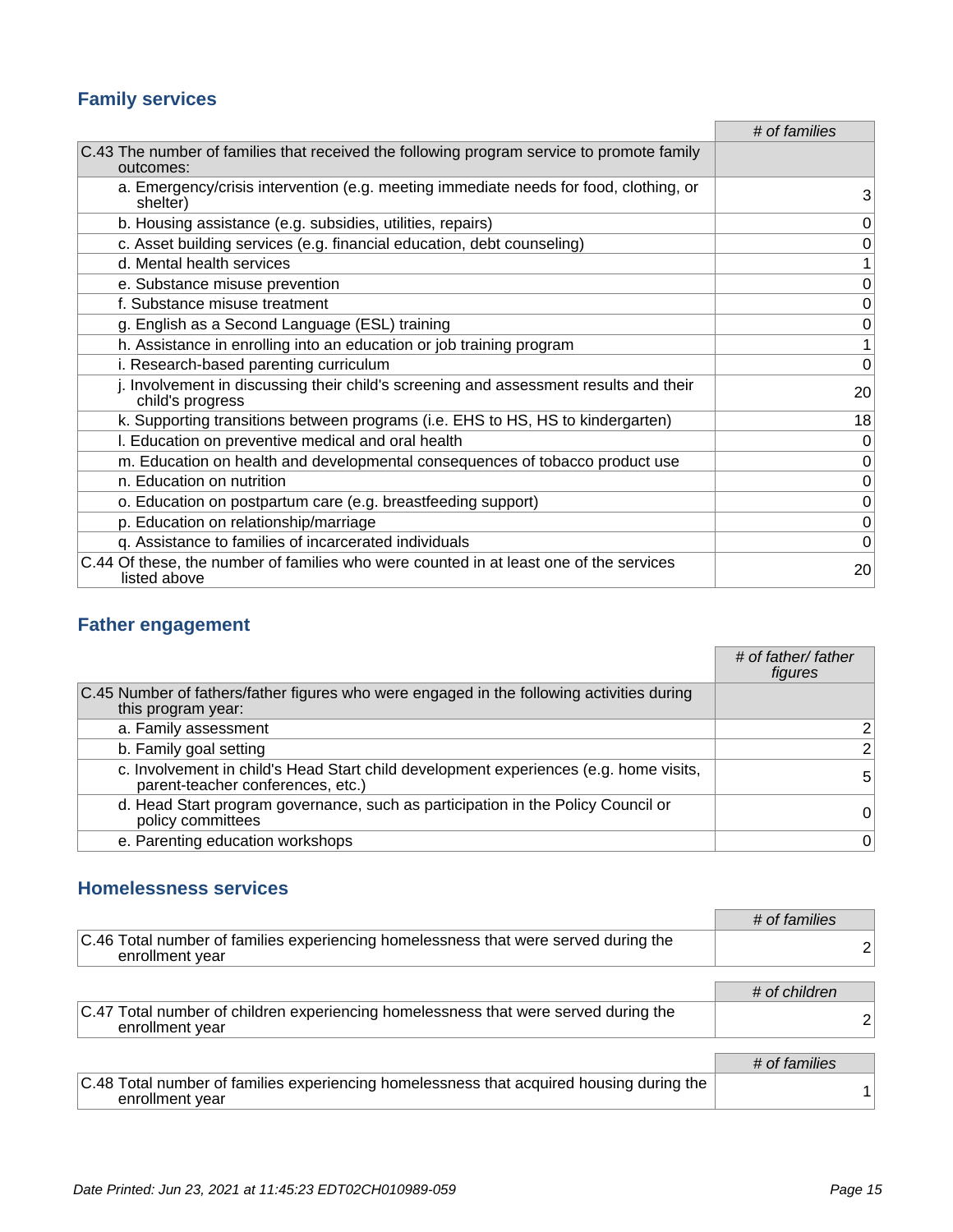## **Family services**

|                                                                                                           | # of families |
|-----------------------------------------------------------------------------------------------------------|---------------|
| C.43 The number of families that received the following program service to promote family<br>outcomes:    |               |
| a. Emergency/crisis intervention (e.g. meeting immediate needs for food, clothing, or<br>shelter)         | 3             |
| b. Housing assistance (e.g. subsidies, utilities, repairs)                                                | 0             |
| c. Asset building services (e.g. financial education, debt counseling)                                    | 0             |
| d. Mental health services                                                                                 |               |
| e. Substance misuse prevention                                                                            | 0             |
| f. Substance misuse treatment                                                                             | 0             |
| g. English as a Second Language (ESL) training                                                            | 0             |
| h. Assistance in enrolling into an education or job training program                                      |               |
| i. Research-based parenting curriculum                                                                    | 0             |
| j. Involvement in discussing their child's screening and assessment results and their<br>child's progress | 20            |
| k. Supporting transitions between programs (i.e. EHS to HS, HS to kindergarten)                           | 18            |
| I. Education on preventive medical and oral health                                                        | $\Omega$      |
| m. Education on health and developmental consequences of tobacco product use                              | 0             |
| n. Education on nutrition                                                                                 | 0             |
| o. Education on postpartum care (e.g. breastfeeding support)                                              | $\Omega$      |
| p. Education on relationship/marriage                                                                     | 0             |
| q. Assistance to families of incarcerated individuals                                                     | 0             |
| C.44 Of these, the number of families who were counted in at least one of the services<br>listed above    | 20            |

### **Father engagement**

|                                                                                                                            | # of father/father<br>figures |
|----------------------------------------------------------------------------------------------------------------------------|-------------------------------|
| C.45 Number of fathers/father figures who were engaged in the following activities during<br>this program year:            |                               |
| a. Family assessment                                                                                                       | 2 <sub>1</sub>                |
| b. Family goal setting                                                                                                     | $\overline{2}$                |
| c. Involvement in child's Head Start child development experiences (e.g. home visits,<br>parent-teacher conferences, etc.) | 5                             |
| d. Head Start program governance, such as participation in the Policy Council or<br>policy committees                      | 0                             |
| e. Parenting education workshops                                                                                           | 0                             |

### **Homelessness services**

|                                                                                                             | # of families |  |
|-------------------------------------------------------------------------------------------------------------|---------------|--|
| C.46 Total number of families experiencing homelessness that were served during the<br>enrollment year      |               |  |
|                                                                                                             |               |  |
|                                                                                                             | # of children |  |
| C.47 Total number of children experiencing homelessness that were served during the<br>enrollment year      |               |  |
|                                                                                                             |               |  |
|                                                                                                             | # of families |  |
| C.48 Total number of families experiencing homelessness that acquired housing during the<br>enrollment year |               |  |